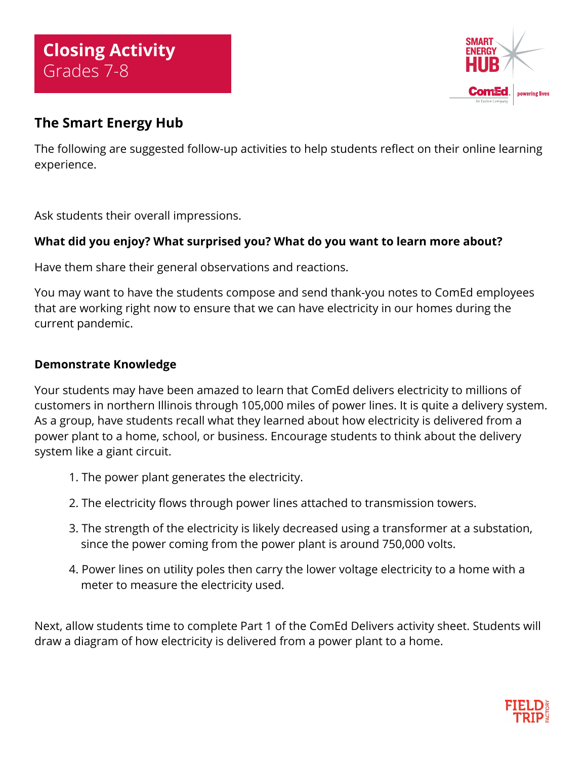

# **The Smart Energy Hub**

The following are suggested follow-up activities to help students reflect on their online learning experience.

Ask students their overall impressions.

## **What did you enjoy? What surprised you? What do you want to learn more about?**

Have them share their general observations and reactions.

You may want to have the students compose and send thank-you notes to ComEd employees that are working right now to ensure that we can have electricity in our homes during the current pandemic.

## **Demonstrate Knowledge**

Your students may have been amazed to learn that ComEd delivers electricity to millions of customers in northern Illinois through 105,000 miles of power lines. It is quite a delivery system. As a group, have students recall what they learned about how electricity is delivered from a power plant to a home, school, or business. Encourage students to think about the delivery system like a giant circuit.

- 1. The power plant generates the electricity.
- 2. The electricity flows through power lines attached to transmission towers.
- 3. The strength of the electricity is likely decreased using a transformer at a substation, since the power coming from the power plant is around 750,000 volts.
- 4. Power lines on utility poles then carry the lower voltage electricity to a home with a meter to measure the electricity used.

Next, allow students time to complete Part 1 of the ComEd Delivers activity sheet. Students will draw a diagram of how electricity is delivered from a power plant to a home.

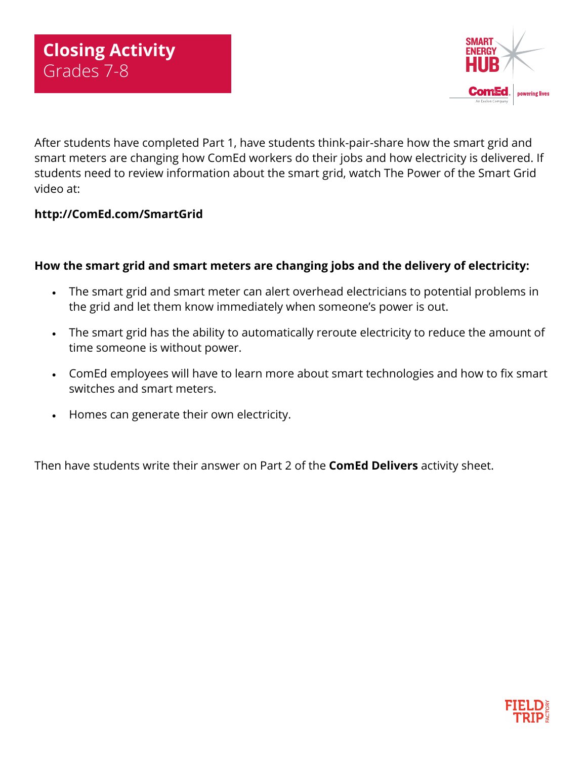

After students have completed Part 1, have students think-pair-share how the smart grid and smart meters are changing how ComEd workers do their jobs and how electricity is delivered. If students need to review information about the smart grid, watch The Power of the Smart Grid video at:

#### **<http://ComEd.com/SmartGrid>**

#### **How the smart grid and smart meters are changing jobs and the delivery of electricity:**

- The smart grid and smart meter can alert overhead electricians to potential problems in the grid and let them know immediately when someone's power is out.
- The smart grid has the ability to automatically reroute electricity to reduce the amount of time someone is without power.
- ComEd employees will have to learn more about smart technologies and how to fix smart switches and smart meters.
- Homes can generate their own electricity.

Then have students write their answer on Part 2 of the **ComEd Delivers** activity sheet.